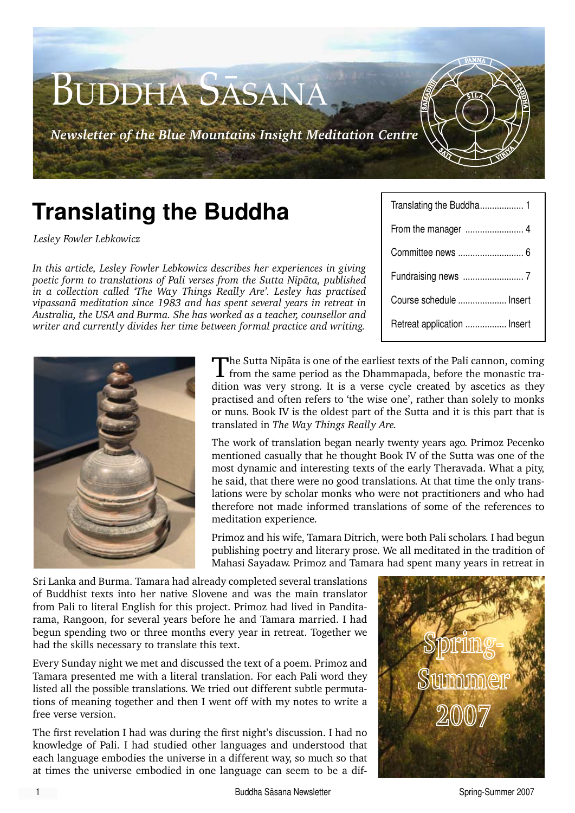

# **Translating the Buddha**

*Lesley Fowler Lebkowicz*

*In this article, Lesley Fowler Lebkowicz describes her experiences in giving poetic form to translations of Pali verses from the Sutta Nipàta, published in a collection called 'The Way Things Really Are'. Lesley has practised vipassanà meditation since 1983 and has spent several years in retreat in Australia, the USA and Burma. She has worked as a teacher, counsellor and writer and currently divides her time between formal practice and writing.*

| Course schedule  Insert     |  |  |
|-----------------------------|--|--|
| Retreat application  Insert |  |  |



The Sutta Nipàta is one of the earliest texts of the Pali cannon, coming from the same period as the Dhammapada, before the monastic tradition was very strong. It is a verse cycle created by ascetics as they practised and often refers to 'the wise one', rather than solely to monks or nuns. Book IV is the oldest part of the Sutta and it is this part that is translated in *The Way Things Really Are.* 

The work of translation began nearly twenty years ago. Primoz Pecenko mentioned casually that he thought Book IV of the Sutta was one of the most dynamic and interesting texts of the early Theravada. What a pity, he said, that there were no good translations. At that time the only translations were by scholar monks who were not practitioners and who had therefore not made informed translations of some of the references to meditation experience.

Primoz and his wife, Tamara Ditrich, were both Pali scholars. I had begun publishing poetry and literary prose. We all meditated in the tradition of Mahasi Sayadaw. Primoz and Tamara had spent many years in retreat in

Sri Lanka and Burma. Tamara had already completed several translations of Buddhist texts into her native Slovene and was the main translator from Pali to literal English for this project. Primoz had lived in Panditarama, Rangoon, for several years before he and Tamara married. I had begun spending two or three months every year in retreat. Together we had the skills necessary to translate this text.

Every Sunday night we met and discussed the text of a poem. Primoz and Tamara presented me with a literal translation. For each Pali word they listed all the possible translations. We tried out different subtle permutations of meaning together and then I went off with my notes to write a free verse version.

The first revelation I had was during the first night's discussion. I had no knowledge of Pali. I had studied other languages and understood that each language embodies the universe in a different way, so much so that at times the universe embodied in one language can seem to be a dif-

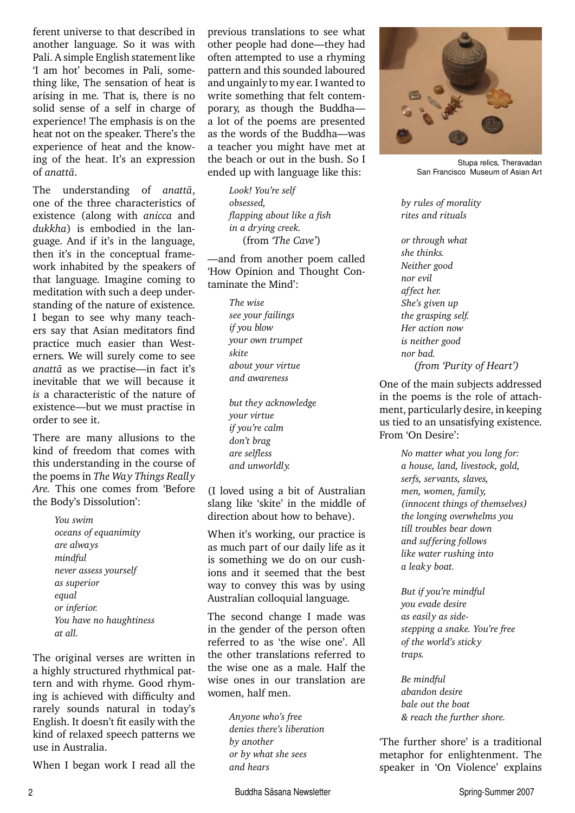ferent universe to that described in another language. So it was with Pali. A simple English statement like 'I am hot' becomes in Pali, something like, The sensation of heat is arising in me. That is, there is no solid sense of a self in charge of experience! The emphasis is on the heat not on the speaker. There's the experience of heat and the knowing of the heat. It's an expression of *anattà*.

The understanding of *anattà*, one of the three characteristics of existence (along with *anicca* and *dukkha*) is embodied in the language. And if it's in the language, then it's in the conceptual framework inhabited by the speakers of that language. Imagine coming to meditation with such a deep understanding of the nature of existence. I began to see why many teachers say that Asian meditators find practice much easier than Westerners. We will surely come to see *anattà* as we practise—in fact it's inevitable that we will because it *is* a characteristic of the nature of existence—but we must practise in order to see it.

There are many allusions to the kind of freedom that comes with this understanding in the course of the poems in *The Way Things Really Are.* This one comes from 'Before the Body's Dissolution':

> *You swim oceans of equanimity are always mindful never assess yourself as superior equal or inferior. You have no haughtiness at all.*

The original verses are written in a highly structured rhythmical pattern and with rhyme. Good rhyming is achieved with difficulty and rarely sounds natural in today's English. It doesn't fit easily with the kind of relaxed speech patterns we use in Australia.

When I began work I read all the

previous translations to see what other people had done—they had often attempted to use a rhyming pattern and this sounded laboured and ungainly to my ear. I wanted to write something that felt contemporary, as though the Buddha a lot of the poems are presented as the words of the Buddha—was a teacher you might have met at the beach or out in the bush. So I ended up with language like this:

> *Look! You're self obsessed, flapping about like a fish in a drying creek.* (from *'The Cave'*)

—and from another poem called 'How Opinion and Thought Contaminate the Mind':

> *The wise see your failings if you blow your own trumpet skite about your virtue and awareness*

*but they acknowledge your virtue if you're calm don't brag are selfless and unworldly.*

(I loved using a bit of Australian slang like 'skite' in the middle of direction about how to behave).

When it's working, our practice is as much part of our daily life as it is something we do on our cushions and it seemed that the best way to convey this was by using Australian colloquial language.

The second change I made was in the gender of the person often referred to as 'the wise one'. All the other translations referred to the wise one as a male. Half the wise ones in our translation are women, half men.

> *Anyone who's free denies there's liberation by another or by what she sees and hears*



Stupa relics, Theravadan San Francisco Museum of Asian Art

*by rules of morality rites and rituals*

*or through what she thinks. Neither good nor evil affect her. She's given up the grasping self. Her action now is neither good nor bad. (from 'Purity of Heart')*

One of the main subjects addressed in the poems is the role of attachment, particularly desire, in keeping us tied to an unsatisfying existence. From 'On Desire':

> *No matter what you long for: a house, land, livestock, gold, serfs, servants, slaves, men, women, family, (innocent things of themselves) the longing overwhelms you till troubles bear down and suffering follows like water rushing into a leaky boat.*

*But if you're mindful you evade desire as easily as sidestepping a snake. You're free of the world's sticky traps.*

*Be mindful abandon desire bale out the boat & reach the further shore.*

'The further shore' is a traditional metaphor for enlightenment. The speaker in 'On Violence' explains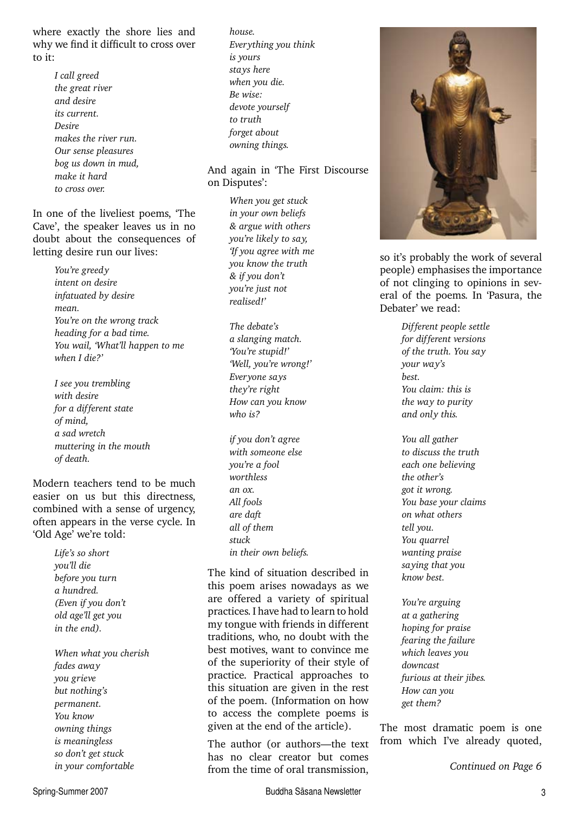where exactly the shore lies and why we find it difficult to cross over to it:

> *I call greed the great river and desire its current. Desire makes the river run. Our sense pleasures bog us down in mud, make it hard to cross over.*

In one of the liveliest poems, 'The Cave', the speaker leaves us in no doubt about the consequences of letting desire run our lives:

> *You're greedy intent on desire infatuated by desire mean. You're on the wrong track heading for a bad time. You wail, 'What'll happen to me when I die?'*

*I see you trembling with desire for a different state of mind, a sad wretch muttering in the mouth of death.*

Modern teachers tend to be much easier on us but this directness, combined with a sense of urgency, often appears in the verse cycle. In 'Old Age' we're told:

> *Life's so short you'll die before you turn a hundred. (Even if you don't old age'll get you in the end).*

*When what you cherish fades away you grieve but nothing's permanent. You know owning things is meaningless so don't get stuck in your comfortable*

*house. Everything you think is yours stays here when you die. Be wise: devote yourself to truth forget about owning things.*

#### And again in 'The First Discourse on Disputes':

*When you get stuck in your own beliefs & argue with others you're likely to say, 'If you agree with me you know the truth & if you don't you're just not realised!'*

*The debate's a slanging match. 'You're stupid!' 'Well, you're wrong!' Everyone says they're right How can you know who is?*

*if you don't agree with someone else you're a fool worthless an ox. All fools are daft all of them stuck in their own beliefs.*

The kind of situation described in this poem arises nowadays as we are offered a variety of spiritual practices. I have had to learn to hold my tongue with friends in different traditions, who, no doubt with the best motives, want to convince me of the superiority of their style of practice. Practical approaches to this situation are given in the rest of the poem. (Information on how to access the complete poems is given at the end of the article).

The author (or authors—the text has no clear creator but comes from the time of oral transmission, *Continued on Page 6*



so it's probably the work of several people) emphasises the importance of not clinging to opinions in several of the poems. In 'Pasura, the Debater' we read:

> *Different people settle for different versions of the truth. You say your way's best. You claim: this is the way to purity and only this.*

*You all gather to discuss the truth each one believing the other's got it wrong. You base your claims on what others tell you. You quarrel wanting praise saying that you know best.*

*You're arguing at a gathering hoping for praise fearing the failure which leaves you downcast furious at their jibes. How can you get them?*

The most dramatic poem is one from which I've already quoted,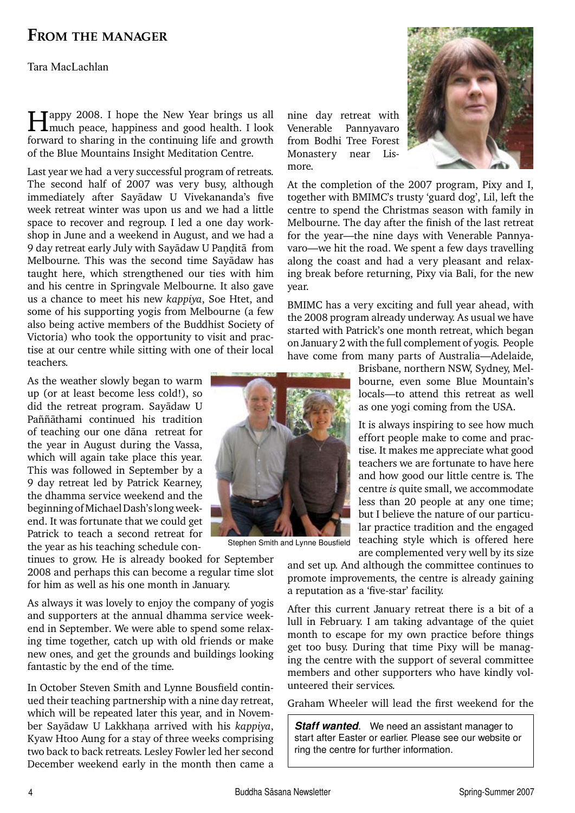### **From the manager**

Tara MacLachlan

Happy 2008. I hope the New Year brings us all much peace, happiness and good health. I look forward to sharing in the continuing life and growth of the Blue Mountains Insight Meditation Centre.

Last year we had a very successful program of retreats. The second half of 2007 was very busy, although immediately after Sayàdaw U Vivekananda's five week retreat winter was upon us and we had a little space to recover and regroup. I led a one day workshop in June and a weekend in August, and we had a 9 day retreat early July with Sayadaw U Pandita from Melbourne. This was the second time Sayàdaw has taught here, which strengthened our ties with him and his centre in Springvale Melbourne. It also gave us a chance to meet his new *kappiya*, Soe Htet, and some of his supporting yogis from Melbourne (a few also being active members of the Buddhist Society of Victoria) who took the opportunity to visit and practise at our centre while sitting with one of their local teachers.

As the weather slowly began to warm up (or at least become less cold!), so did the retreat program. Sayàdaw U Paññāthami continued his tradition of teaching our one dàna retreat for the year in August during the Vassa, which will again take place this year. This was followed in September by a 9 day retreat led by Patrick Kearney, the dhamma service weekend and the beginning of Michael Dash's long weekend. It was fortunate that we could get Patrick to teach a second retreat for the year as his teaching schedule con-

tinues to grow. He is already booked for September 2008 and perhaps this can become a regular time slot for him as well as his one month in January.

As always it was lovely to enjoy the company of yogis and supporters at the annual dhamma service weekend in September. We were able to spend some relaxing time together, catch up with old friends or make new ones, and get the grounds and buildings looking fantastic by the end of the time.

In October Steven Smith and Lynne Bousfield continued their teaching partnership with a nine day retreat, which will be repeated later this year, and in November Sayādaw U Lakkhana arrived with his *kappiya*, Kyaw Htoo Aung for a stay of three weeks comprising two back to back retreats. Lesley Fowler led her second December weekend early in the month then came a



Stephen Smith and Lynne Bousfield



At the completion of the 2007 program, Pixy and I, together with BMIMC's trusty 'guard dog', Lil, left the centre to spend the Christmas season with family in Melbourne. The day after the finish of the last retreat for the year—the nine days with Venerable Pannyavaro—we hit the road. We spent a few days travelling along the coast and had a very pleasant and relaxing break before returning, Pixy via Bali, for the new year.

Monastery near Lis-

more.

BMIMC has a very exciting and full year ahead, with the 2008 program already underway. As usual we have started with Patrick's one month retreat, which began on January 2 with the full complement of yogis. People have come from many parts of Australia—Adelaide,

> Brisbane, northern NSW, Sydney, Melbourne, even some Blue Mountain's locals—to attend this retreat as well as one yogi coming from the USA.

> It is always inspiring to see how much effort people make to come and practise. It makes me appreciate what good teachers we are fortunate to have here and how good our little centre is. The centre *is* quite small, we accommodate less than 20 people at any one time; but I believe the nature of our particular practice tradition and the engaged teaching style which is offered here are complemented very well by its size

and set up. And although the committee continues to promote improvements, the centre is already gaining a reputation as a 'five-star' facility.

After this current January retreat there is a bit of a lull in February. I am taking advantage of the quiet month to escape for my own practice before things get too busy. During that time Pixy will be managing the centre with the support of several committee members and other supporters who have kindly volunteered their services.

Graham Wheeler will lead the first weekend for the

*Staff wanted.* We need an assistant manager to start after Easter or earlier. Please see our website or ring the centre for further information.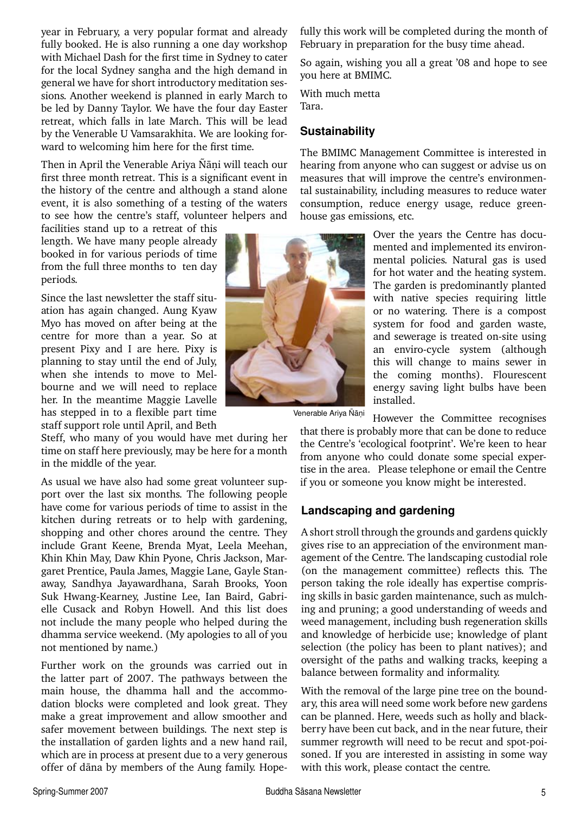year in February, a very popular format and already fully booked. He is also running a one day workshop with Michael Dash for the first time in Sydney to cater for the local Sydney sangha and the high demand in general we have for short introductory meditation sessions. Another weekend is planned in early March to be led by Danny Taylor. We have the four day Easter retreat, which falls in late March. This will be lead by the Venerable U Vamsarakhita. We are looking forward to welcoming him here for the first time.

Then in April the Venerable Ariya Ñāni will teach our first three month retreat. This is a significant event in the history of the centre and although a stand alone event, it is also something of a testing of the waters to see how the centre's staff, volunteer helpers and

facilities stand up to a retreat of this length. We have many people already booked in for various periods of time from the full three months to ten day periods.

Since the last newsletter the staff situation has again changed. Aung Kyaw Myo has moved on after being at the centre for more than a year. So at present Pixy and I are here. Pixy is planning to stay until the end of July, when she intends to move to Melbourne and we will need to replace her. In the meantime Maggie Lavelle has stepped in to a flexible part time staff support role until April, and Beth

Steff, who many of you would have met during her time on staff here previously, may be here for a month in the middle of the year.

As usual we have also had some great volunteer support over the last six months. The following people have come for various periods of time to assist in the kitchen during retreats or to help with gardening, shopping and other chores around the centre. They include Grant Keene, Brenda Myat, Leela Meehan, Khin Khin May, Daw Khin Pyone, Chris Jackson, Margaret Prentice, Paula James, Maggie Lane, Gayle Stanaway, Sandhya Jayawardhana, Sarah Brooks, Yoon Suk Hwang-Kearney, Justine Lee, Ian Baird, Gabrielle Cusack and Robyn Howell. And this list does not include the many people who helped during the dhamma service weekend. (My apologies to all of you not mentioned by name.)

Further work on the grounds was carried out in the latter part of 2007. The pathways between the main house, the dhamma hall and the accommodation blocks were completed and look great. They make a great improvement and allow smoother and safer movement between buildings. The next step is the installation of garden lights and a new hand rail, which are in process at present due to a very generous offer of dàna by members of the Aung family. Hopefully this work will be completed during the month of February in preparation for the busy time ahead.

So again, wishing you all a great '08 and hope to see you here at BMIMC.

With much metta Tara.

#### **Sustainability**

The BMIMC Management Committee is interested in hearing from anyone who can suggest or advise us on measures that will improve the centre's environmental sustainability, including measures to reduce water consumption, reduce energy usage, reduce greenhouse gas emissions, etc.

> Over the years the Centre has documented and implemented its environmental policies. Natural gas is used for hot water and the heating system. The garden is predominantly planted with native species requiring little or no watering. There is a compost system for food and garden waste, and sewerage is treated on-site using an enviro-cycle system (although this will change to mains sewer in the coming months). Flourescent energy saving light bulbs have been installed.

Venerable Ariya Ñāṇi

However the Committee recognises that there is probably more that can be done to reduce the Centre's 'ecological footprint'. We're keen to hear from anyone who could donate some special expertise in the area. Please telephone or email the Centre if you or someone you know might be interested.

#### **Landscaping and gardening**

A short stroll through the grounds and gardens quickly gives rise to an appreciation of the environment management of the Centre. The landscaping custodial role (on the management committee) reflects this. The person taking the role ideally has expertise comprising skills in basic garden maintenance, such as mulching and pruning; a good understanding of weeds and weed management, including bush regeneration skills and knowledge of herbicide use; knowledge of plant selection (the policy has been to plant natives); and oversight of the paths and walking tracks, keeping a balance between formality and informality.

With the removal of the large pine tree on the boundary, this area will need some work before new gardens can be planned. Here, weeds such as holly and blackberry have been cut back, and in the near future, their summer regrowth will need to be recut and spot-poisoned. If you are interested in assisting in some way with this work, please contact the centre.

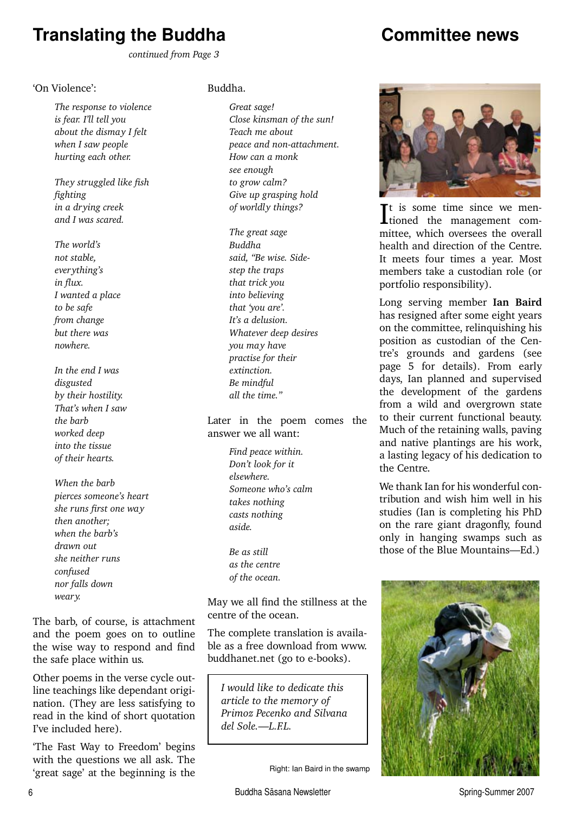# **Translating the Buddha**

## **Committee news**

 *continued from Page 3*

#### 'On Violence':

*The response to violence is fear. I'll tell you about the dismay I felt when I saw people hurting each other.*

*They struggled like fish fighting in a drying creek and I was scared.*

*The world's not stable, everything's in flux. I wanted a place to be safe from change but there was nowhere.*

*In the end I was disgusted by their hostility. That's when I saw the barb worked deep into the tissue of their hearts.*

*When the barb pierces someone's heart she runs first one way then another; when the barb's drawn out she neither runs confused nor falls down weary.*

The barb, of course, is attachment and the poem goes on to outline the wise way to respond and find the safe place within us.

Other poems in the verse cycle outline teachings like dependant origination. (They are less satisfying to read in the kind of short quotation I've included here).

'The Fast Way to Freedom' begins with the questions we all ask. The 'great sage' at the beginning is the

#### Buddha.

*Great sage! Close kinsman of the sun! Teach me about peace and non-attachment. How can a monk see enough to grow calm? Give up grasping hold of worldly things?*

*The great sage Buddha said, "Be wise. Sidestep the traps that trick you into believing that 'you are'. It's a delusion. Whatever deep desires you may have practise for their extinction. Be mindful all the time."*

Later in the poem comes the answer we all want:

> *Find peace within. Don't look for it elsewhere. Someone who's calm takes nothing casts nothing aside.*

*Be as still as the centre of the ocean.*

May we all find the stillness at the centre of the ocean.

The complete translation is available as a free download from www. buddhanet.net (go to e-books).

*I would like to dedicate this article to the memory of Primoz Pecenko and Silvana del Sole.—L.F.L.*

Right: Ian Baird in the swamp



It is some time since we men-<br>tioned the management comt is some time since we menmittee, which oversees the overall health and direction of the Centre. It meets four times a year. Most members take a custodian role (or portfolio responsibility).

Long serving member **Ian Baird** has resigned after some eight years on the committee, relinquishing his position as custodian of the Centre's grounds and gardens (see page 5 for details). From early days, Ian planned and supervised the development of the gardens from a wild and overgrown state to their current functional beauty. Much of the retaining walls, paving and native plantings are his work, a lasting legacy of his dedication to the Centre.

We thank Ian for his wonderful contribution and wish him well in his studies (Ian is completing his PhD on the rare giant dragonfly, found only in hanging swamps such as those of the Blue Mountains—Ed.)

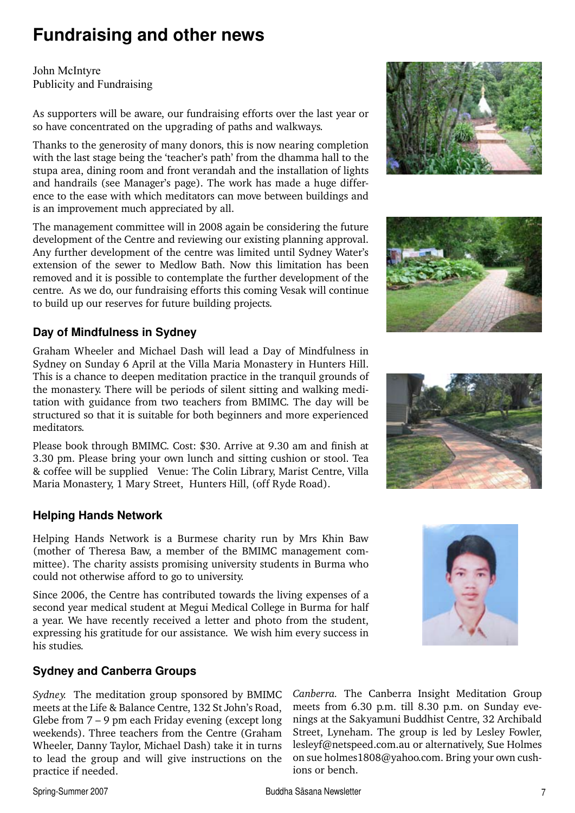# **Fundraising and other news**

John McIntyre Publicity and Fundraising

As supporters will be aware, our fundraising efforts over the last year or so have concentrated on the upgrading of paths and walkways.

Thanks to the generosity of many donors, this is now nearing completion with the last stage being the 'teacher's path' from the dhamma hall to the stupa area, dining room and front verandah and the installation of lights and handrails (see Manager's page). The work has made a huge difference to the ease with which meditators can move between buildings and is an improvement much appreciated by all.

The management committee will in 2008 again be considering the future development of the Centre and reviewing our existing planning approval. Any further development of the centre was limited until Sydney Water's extension of the sewer to Medlow Bath. Now this limitation has been removed and it is possible to contemplate the further development of the centre. As we do, our fundraising efforts this coming Vesak will continue to build up our reserves for future building projects.

### **Day of Mindfulness in Sydney**

Graham Wheeler and Michael Dash will lead a Day of Mindfulness in Sydney on Sunday 6 April at the Villa Maria Monastery in Hunters Hill. This is a chance to deepen meditation practice in the tranquil grounds of the monastery. There will be periods of silent sitting and walking meditation with guidance from two teachers from BMIMC. The day will be structured so that it is suitable for both beginners and more experienced meditators.

Please book through BMIMC. Cost: \$30. Arrive at 9.30 am and finish at 3.30 pm. Please bring your own lunch and sitting cushion or stool. Tea & coffee will be supplied Venue: The Colin Library, Marist Centre, Villa Maria Monastery, 1 Mary Street, Hunters Hill, (off Ryde Road).

### **Helping Hands Network**

Helping Hands Network is a Burmese charity run by Mrs Khin Baw (mother of Theresa Baw, a member of the BMIMC management committee). The charity assists promising university students in Burma who could not otherwise afford to go to university.

Since 2006, the Centre has contributed towards the living expenses of a second year medical student at Megui Medical College in Burma for half a year. We have recently received a letter and photo from the student, expressing his gratitude for our assistance. We wish him every success in his studies.

### **Sydney and Canberra Groups**

*Sydney.* The meditation group sponsored by BMIMC meets at the Life & Balance Centre, 132 St John's Road, Glebe from 7 – 9 pm each Friday evening (except long weekends). Three teachers from the Centre (Graham Wheeler, Danny Taylor, Michael Dash) take it in turns to lead the group and will give instructions on the practice if needed.









*Canberra.* The Canberra Insight Meditation Group meets from 6.30 p.m. till 8.30 p.m. on Sunday evenings at the Sakyamuni Buddhist Centre, 32 Archibald Street, Lyneham. The group is led by Lesley Fowler, lesleyf@netspeed.com.au or alternatively, Sue Holmes on sue holmes1808@yahoo.com. Bring your own cushions or bench.